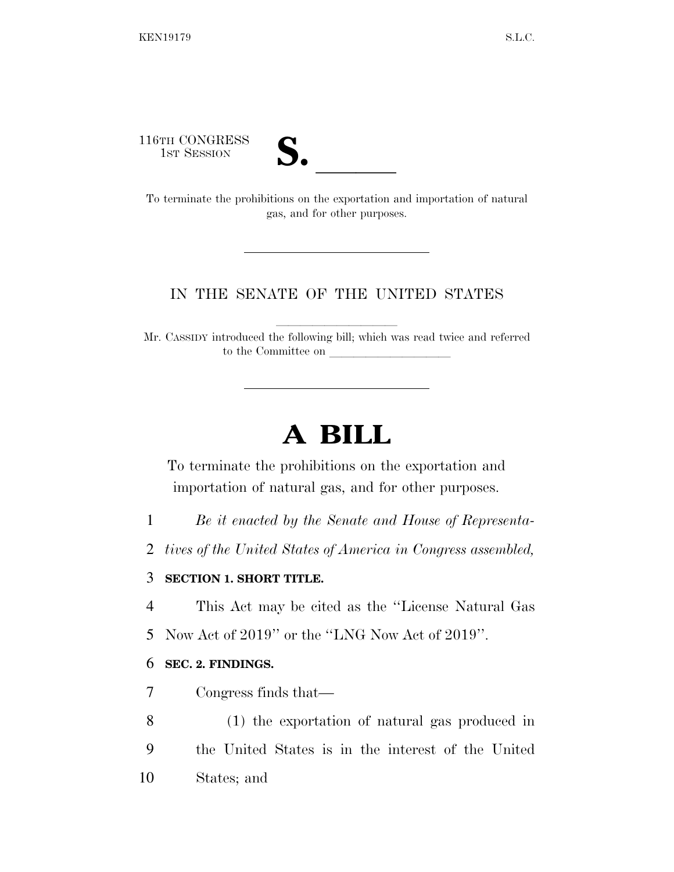116TH CONGRESS



16TH CONGRESS<br>
1ST SESSION<br>
To terminate the prohibitions on the exportation and importation of natural gas, and for other purposes.

## IN THE SENATE OF THE UNITED STATES

Mr. CASSIDY introduced the following bill; which was read twice and referred to the Committee on

# **A BILL**

To terminate the prohibitions on the exportation and importation of natural gas, and for other purposes.

- 1 *Be it enacted by the Senate and House of Representa-*
- 2 *tives of the United States of America in Congress assembled,*

### 3 **SECTION 1. SHORT TITLE.**

4 This Act may be cited as the ''License Natural Gas

5 Now Act of 2019'' or the ''LNG Now Act of 2019''.

### 6 **SEC. 2. FINDINGS.**

- 7 Congress finds that—
- 8 (1) the exportation of natural gas produced in 9 the United States is in the interest of the United 10 States; and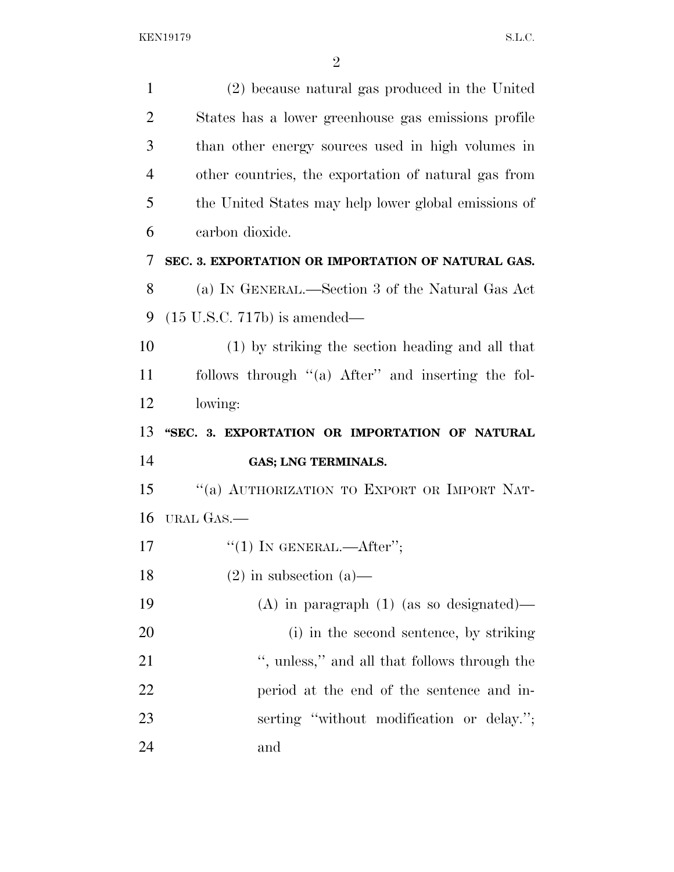| $\mathbf{1}$   | (2) because natural gas produced in the United       |
|----------------|------------------------------------------------------|
| $\overline{2}$ | States has a lower greenhouse gas emissions profile  |
| 3              | than other energy sources used in high volumes in    |
| $\overline{4}$ | other countries, the exportation of natural gas from |
| 5              | the United States may help lower global emissions of |
| 6              | carbon dioxide.                                      |
| 7              | SEC. 3. EXPORTATION OR IMPORTATION OF NATURAL GAS.   |
| 8              | (a) IN GENERAL.—Section 3 of the Natural Gas Act     |
| 9              | $(15$ U.S.C. 717b) is amended—                       |
| 10             | (1) by striking the section heading and all that     |
| 11             | follows through "(a) After" and inserting the fol-   |
| 12             | lowing:                                              |
| 13             | "SEC. 3. EXPORTATION OR IMPORTATION OF NATURAL       |
|                |                                                      |
| 14             | GAS; LNG TERMINALS.                                  |
| 15             | "(a) AUTHORIZATION TO EXPORT OR IMPORT NAT-          |
| 16             | URAL GAS.—                                           |
| 17             | "(1) IN GENERAL.—After";                             |
| 18             | $(2)$ in subsection $(a)$ —                          |
| 19             | $(A)$ in paragraph $(1)$ (as so designated)—         |
| 20             | (i) in the second sentence, by striking              |
| 21             | ", unless," and all that follows through the         |
| 22             | period at the end of the sentence and in-            |
| 23             | serting "without modification or delay.";            |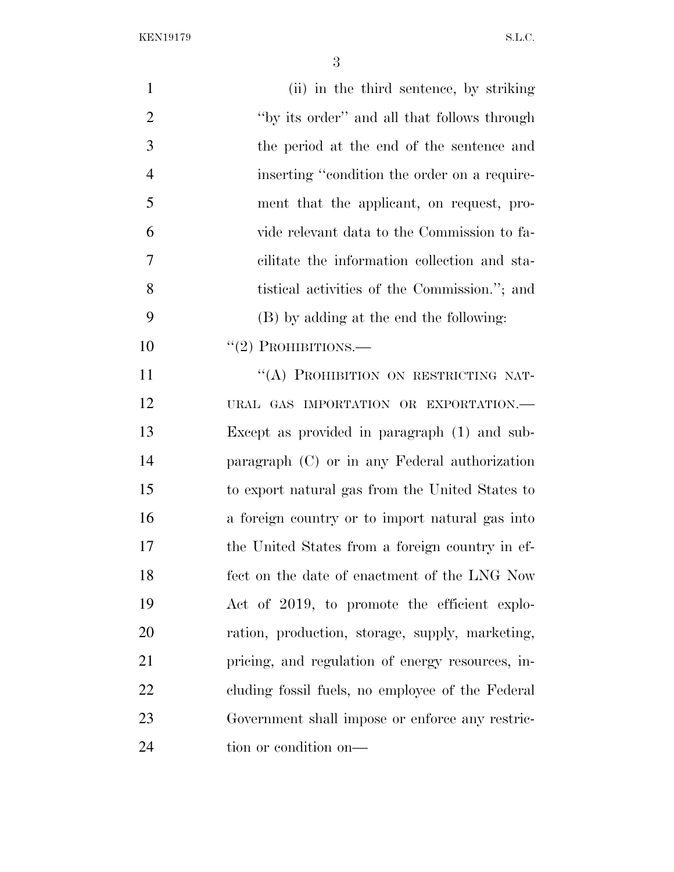KEN19179 S.L.C.

| $\mathbf{1}$   | (ii) in the third sentence, by striking          |
|----------------|--------------------------------------------------|
| $\overline{2}$ | "by its order" and all that follows through      |
| 3              | the period at the end of the sentence and        |
| $\overline{4}$ | inserting "condition the order on a require-     |
| 5              | ment that the applicant, on request, pro-        |
| 6              | vide relevant data to the Commission to fa-      |
| 7              | cilitate the information collection and sta-     |
| 8              | tistical activities of the Commission."; and     |
| 9              | (B) by adding at the end the following:          |
| 10             | $``(2)$ PROHIBITIONS.—                           |
| 11             | "(A) PROHIBITION ON RESTRICTING NAT-             |
| 12             | URAL GAS IMPORTATION OR EXPORTATION.-            |
| 13             | Except as provided in paragraph (1) and sub-     |
| 14             | paragraph (C) or in any Federal authorization    |
| 15             | to export natural gas from the United States to  |
| 16             | a foreign country or to import natural gas into  |
| 17             | the United States from a foreign country in ef-  |
| 18             | fect on the date of enactment of the LNG Now     |
| 19             | Act of 2019, to promote the efficient explo-     |
| 20             | ration, production, storage, supply, marketing,  |
| 21             | pricing, and regulation of energy resources, in- |
| 22             | cluding fossil fuels, no employee of the Federal |
| 23             | Government shall impose or enforce any restric-  |
| 24             | tion or condition on-                            |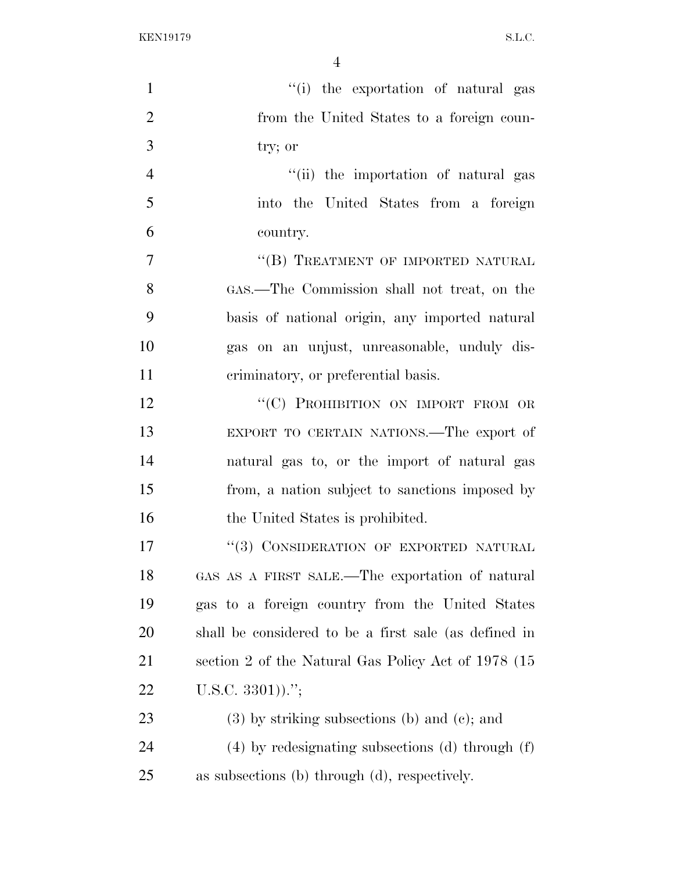KEN19179 S.L.C.

| $\mathbf{1}$   | "(i) the exportation of natural gas                   |
|----------------|-------------------------------------------------------|
| $\overline{2}$ | from the United States to a foreign coun-             |
| 3              | try; or                                               |
| $\overline{4}$ | "(ii) the importation of natural gas                  |
| 5              | into the United States from a foreign                 |
| 6              | country.                                              |
| $\overline{7}$ | "(B) TREATMENT OF IMPORTED NATURAL                    |
| 8              | GAS.—The Commission shall not treat, on the           |
| 9              | basis of national origin, any imported natural        |
| 10             | gas on an unjust, unreasonable, unduly dis-           |
| 11             | criminatory, or preferential basis.                   |
| 12             | "(C) PROHIBITION ON IMPORT FROM OR                    |
| 13             | EXPORT TO CERTAIN NATIONS.—The export of              |
| 14             | natural gas to, or the import of natural gas          |
| 15             | from, a nation subject to sanctions imposed by        |
| 16             | the United States is prohibited.                      |
| 17             | "(3) CONSIDERATION OF EXPORTED NATURAL                |
| 18             | GAS AS A FIRST SALE.—The exportation of natural       |
| 19             | gas to a foreign country from the United States       |
| 20             | shall be considered to be a first sale (as defined in |
| 21             | section 2 of the Natural Gas Policy Act of 1978 (15   |
| 22             | U.S.C. $3301)$ .";                                    |
| 23             | $(3)$ by striking subsections (b) and (c); and        |
| 24             | $(4)$ by redesignating subsections (d) through $(f)$  |
| 25             | as subsections (b) through (d), respectively.         |